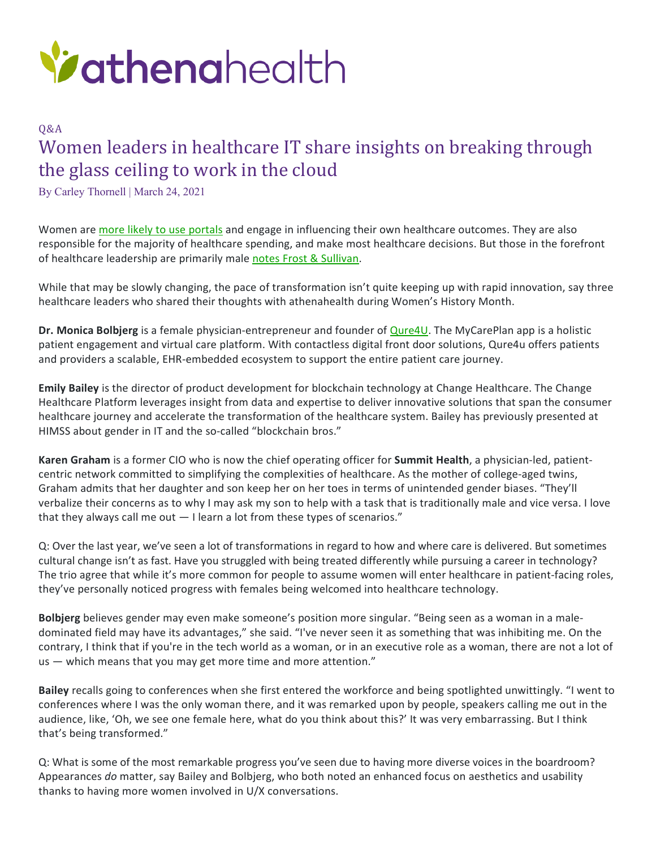

## Q&A Women leaders in healthcare IT share insights on breaking through the glass ceiling to work in the cloud

By Carley Thornell | March 24, 2021

Women are [more likely to use portals](https://journals.sagepub.com/doi/full/10.1177/2374289518797573) and engage in influencing their own healthcare outcomes. They are also responsible for the majority of healthcare spending, and make most healthcare decisions. But those in the forefront of healthcare leadership are primarily male [notes Frost & Sullivan.](https://ww2.frost.com/frost-perspectives/femtechtime-digital-revolution-womens-health-market/)

While that may be slowly changing, the pace of transformation isn't quite keeping up with rapid innovation, say three healthcare leaders who shared their thoughts with athenahealth during Women's History Month.

**Dr. Monica Bolbjerg** is a female physician-entrepreneur and founder of [Qure4U.](https://marketplace.athenahealth.com/product/mycareplan) The MyCarePlan app is a holistic patient engagement and virtual care platform. With contactless digital front door solutions, Qure4u offers patients and providers a scalable, EHR-embedded ecosystem to support the entire patient care journey.

**Emily Bailey** is the director of product development for blockchain technology at Change Healthcare. The Change Healthcare Platform leverages insight from data and expertise to deliver innovative solutions that span the consumer healthcare journey and accelerate the transformation of the healthcare system. Bailey has previously presented at HIMSS about gender in IT and the so-called "blockchain bros."

**Karen Graham** is a former CIO who is now the chief operating officer for **Summit Health**, a physician-led, patientcentric network committed to simplifying the complexities of healthcare. As the mother of college-aged twins, Graham admits that her daughter and son keep her on her toes in terms of unintended gender biases. "They'll verbalize their concerns as to why I may ask my son to help with a task that is traditionally male and vice versa. I love that they always call me out  $-1$  learn a lot from these types of scenarios."

Q: Over the last year, we've seen a lot of transformations in regard to how and where care is delivered. But sometimes cultural change isn't as fast. Have you struggled with being treated differently while pursuing a career in technology? The trio agree that while it's more common for people to assume women will enter healthcare in patient-facing roles, they've personally noticed progress with females being welcomed into healthcare technology.

**Bolbjerg** believes gender may even make someone's position more singular. "Being seen as a woman in a maledominated field may have its advantages," she said. "I've never seen it as something that was inhibiting me. On the contrary, I think that if you're in the tech world as a woman, or in an executive role as a woman, there are not a lot of us — which means that you may get more time and more attention."

**Bailey** recalls going to conferences when she first entered the workforce and being spotlighted unwittingly. "I went to conferences where I was the only woman there, and it was remarked upon by people, speakers calling me out in the audience, like, 'Oh, we see one female here, what do you think about this?' It was very embarrassing. But I think that's being transformed."

Q: What is some of the most remarkable progress you've seen due to having more diverse voices in the boardroom? Appearances *do* matter, say Bailey and Bolbjerg, who both noted an enhanced focus on aesthetics and usability thanks to having more women involved in U/X conversations.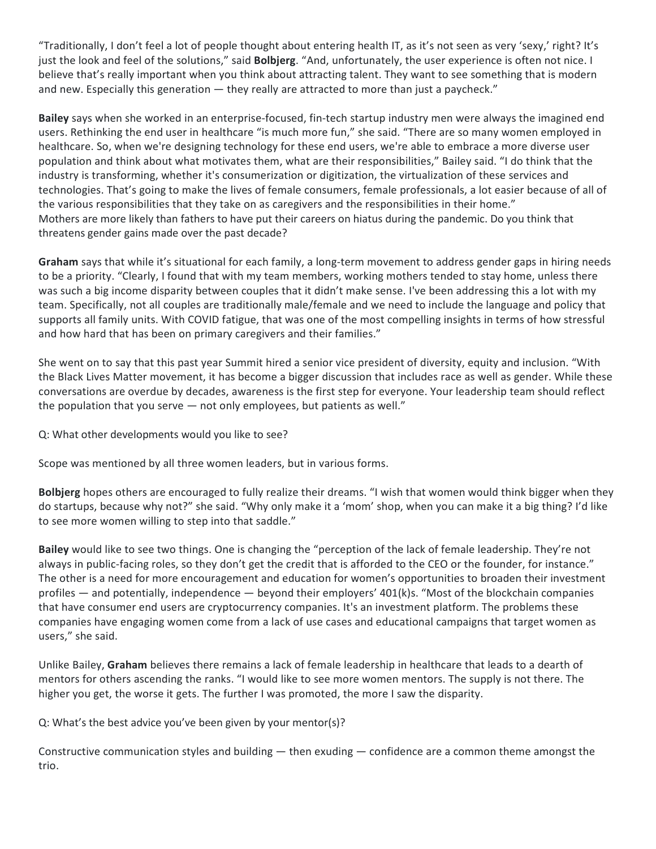"Traditionally, I don't feel a lot of people thought about entering health IT, as it's not seen as very 'sexy,' right? It's just the look and feel of the solutions," said **Bolbjerg**. "And, unfortunately, the user experience is often not nice. I believe that's really important when you think about attracting talent. They want to see something that is modern and new. Especially this generation — they really are attracted to more than just a paycheck."

**Bailey** says when she worked in an enterprise-focused, fin-tech startup industry men were always the imagined end users. Rethinking the end user in healthcare "is much more fun," she said. "There are so many women employed in healthcare. So, when we're designing technology for these end users, we're able to embrace a more diverse user population and think about what motivates them, what are their responsibilities," Bailey said. "I do think that the industry is transforming, whether it's consumerization or digitization, the virtualization of these services and technologies. That's going to make the lives of female consumers, female professionals, a lot easier because of all of the various responsibilities that they take on as caregivers and the responsibilities in their home." Mothers are more likely than fathers to have put their careers on hiatus during the pandemic. Do you think that threatens gender gains made over the past decade?

**Graham** says that while it's situational for each family, a long-term movement to address gender gaps in hiring needs to be a priority. "Clearly, I found that with my team members, working mothers tended to stay home, unless there was such a big income disparity between couples that it didn't make sense. I've been addressing this a lot with my team. Specifically, not all couples are traditionally male/female and we need to include the language and policy that supports all family units. With COVID fatigue, that was one of the most compelling insights in terms of how stressful and how hard that has been on primary caregivers and their families."

She went on to say that this past year Summit hired a senior vice president of diversity, equity and inclusion. "With the Black Lives Matter movement, it has become a bigger discussion that includes race as well as gender. While these conversations are overdue by decades, awareness is the first step for everyone. Your leadership team should reflect the population that you serve — not only employees, but patients as well."

Q: What other developments would you like to see?

Scope was mentioned by all three women leaders, but in various forms.

**Bolbjerg** hopes others are encouraged to fully realize their dreams. "I wish that women would think bigger when they do startups, because why not?" she said. "Why only make it a 'mom' shop, when you can make it a big thing? I'd like to see more women willing to step into that saddle."

**Bailey** would like to see two things. One is changing the "perception of the lack of female leadership. They're not always in public-facing roles, so they don't get the credit that is afforded to the CEO or the founder, for instance." The other is a need for more encouragement and education for women's opportunities to broaden their investment profiles — and potentially, independence — beyond their employers' 401(k)s. "Most of the blockchain companies that have consumer end users are cryptocurrency companies. It's an investment platform. The problems these companies have engaging women come from a lack of use cases and educational campaigns that target women as users," she said.

Unlike Bailey, **Graham** believes there remains a lack of female leadership in healthcare that leads to a dearth of mentors for others ascending the ranks. "I would like to see more women mentors. The supply is not there. The higher you get, the worse it gets. The further I was promoted, the more I saw the disparity.

Q: What's the best advice you've been given by your mentor(s)?

Constructive communication styles and building  $-$  then exuding  $-$  confidence are a common theme amongst the trio.